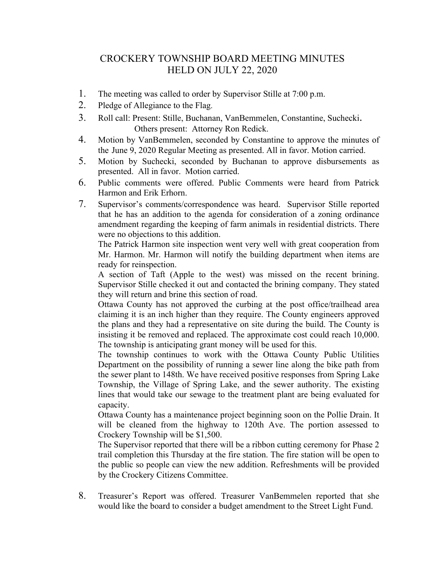## CROCKERY TOWNSHIP BOARD MEETING MINUTES HELD ON JULY 22, 2020

- 1. The meeting was called to order by Supervisor Stille at 7:00 p.m.
- 2. Pledge of Allegiance to the Flag.
- 3. Roll call: Present: Stille, Buchanan, VanBemmelen, Constantine, Suchecki. Others present: Attorney Ron Redick.
- 4. Motion by VanBemmelen, seconded by Constantine to approve the minutes of the June 9, 2020 Regular Meeting as presented. All in favor. Motion carried.
- 5. Motion by Suchecki, seconded by Buchanan to approve disbursements as presented. All in favor. Motion carried.
- 6. Public comments were offered. Public Comments were heard from Patrick Harmon and Erik Erhorn.
- 7. Supervisor's comments/correspondence was heard. Supervisor Stille reported that he has an addition to the agenda for consideration of a zoning ordinance amendment regarding the keeping of farm animals in residential districts. There were no objections to this addition.

The Patrick Harmon site inspection went very well with great cooperation from Mr. Harmon. Mr. Harmon will notify the building department when items are ready for reinspection.

A section of Taft (Apple to the west) was missed on the recent brining. Supervisor Stille checked it out and contacted the brining company. They stated they will return and brine this section of road.

Ottawa County has not approved the curbing at the post office/trailhead area claiming it is an inch higher than they require. The County engineers approved the plans and they had a representative on site during the build. The County is insisting it be removed and replaced. The approximate cost could reach 10,000. The township is anticipating grant money will be used for this.

The township continues to work with the Ottawa County Public Utilities Department on the possibility of running a sewer line along the bike path from the sewer plant to 148th. We have received positive responses from Spring Lake Township, the Village of Spring Lake, and the sewer authority. The existing lines that would take our sewage to the treatment plant are being evaluated for capacity.

Ottawa County has a maintenance project beginning soon on the Pollie Drain. It will be cleaned from the highway to 120th Ave. The portion assessed to Crockery Township will be \$1,500.

The Supervisor reported that there will be a ribbon cutting ceremony for Phase 2 trail completion this Thursday at the fire station. The fire station will be open to the public so people can view the new addition. Refreshments will be provided by the Crockery Citizens Committee.

8. Treasurer's Report was offered. Treasurer VanBemmelen reported that she would like the board to consider a budget amendment to the Street Light Fund.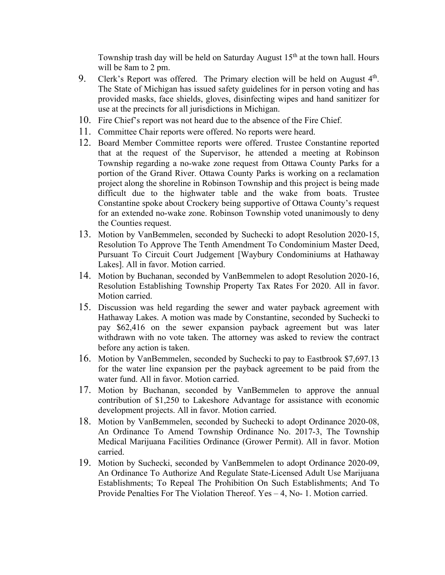Township trash day will be held on Saturday August  $15<sup>th</sup>$  at the town hall. Hours will be 8am to 2 pm.

- 9. Clerk's Report was offered. The Primary election will be held on August 4<sup>th</sup>. The State of Michigan has issued safety guidelines for in person voting and has provided masks, face shields, gloves, disinfecting wipes and hand sanitizer for use at the precincts for all jurisdictions in Michigan.
- 10. Fire Chief's report was not heard due to the absence of the Fire Chief.
- 11. Committee Chair reports were offered. No reports were heard.
- 12. Board Member Committee reports were offered. Trustee Constantine reported that at the request of the Supervisor, he attended a meeting at Robinson Township regarding a no-wake zone request from Ottawa County Parks for a portion of the Grand River. Ottawa County Parks is working on a reclamation project along the shoreline in Robinson Township and this project is being made difficult due to the highwater table and the wake from boats. Trustee Constantine spoke about Crockery being supportive of Ottawa County's request for an extended no-wake zone. Robinson Township voted unanimously to deny the Counties request.
- 13. Motion by VanBemmelen, seconded by Suchecki to adopt Resolution 2020-15, Resolution To Approve The Tenth Amendment To Condominium Master Deed, Pursuant To Circuit Court Judgement [Waybury Condominiums at Hathaway Lakes]. All in favor. Motion carried.
- 14. Motion by Buchanan, seconded by VanBemmelen to adopt Resolution 2020-16, Resolution Establishing Township Property Tax Rates For 2020. All in favor. Motion carried.
- 15. Discussion was held regarding the sewer and water payback agreement with Hathaway Lakes. A motion was made by Constantine, seconded by Suchecki to pay \$62,416 on the sewer expansion payback agreement but was later withdrawn with no vote taken. The attorney was asked to review the contract before any action is taken.
- 16. Motion by VanBemmelen, seconded by Suchecki to pay to Eastbrook \$7,697.13 for the water line expansion per the payback agreement to be paid from the water fund. All in favor. Motion carried.
- 17. Motion by Buchanan, seconded by VanBemmelen to approve the annual contribution of \$1,250 to Lakeshore Advantage for assistance with economic development projects. All in favor. Motion carried.
- 18. Motion by VanBemmelen, seconded by Suchecki to adopt Ordinance 2020-08, An Ordinance To Amend Township Ordinance No. 2017-3, The Township Medical Marijuana Facilities Ordinance (Grower Permit). All in favor. Motion carried.
- 19. Motion by Suchecki, seconded by VanBemmelen to adopt Ordinance 2020-09, An Ordinance To Authorize And Regulate State-Licensed Adult Use Marijuana Establishments; To Repeal The Prohibition On Such Establishments; And To Provide Penalties For The Violation Thereof. Yes – 4, No- 1. Motion carried.